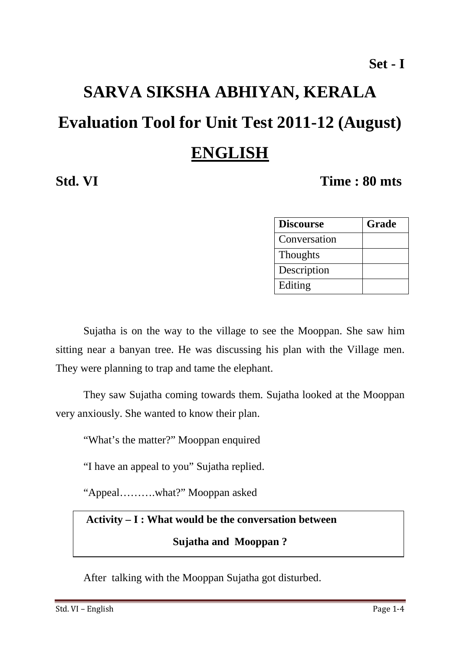# **SARVA SIKSHA ABHIYAN, KERALA Evaluation Tool for Unit Test 2011-12 (August) ENGLISH**

# **Std. VI Time : 80 mts**

| <b>Discourse</b> | Grade |
|------------------|-------|
| Conversation     |       |
| <b>Thoughts</b>  |       |
| Description      |       |
| Editing          |       |

Sujatha is on the way to the village to see the Mooppan. She saw him sitting near a banyan tree. He was discussing his plan with the Village men. They were planning to trap and tame the elephant.

 They saw Sujatha coming towards them. Sujatha looked at the Mooppan very anxiously. She wanted to know their plan.

"What's the matter?" Mooppan enquired

"I have an appeal to you" Sujatha replied.

"Appeal……….what?" Mooppan asked

# **Activity – I : What would be the conversation between**

#### **Sujatha and Mooppan ?**

After talking with the Mooppan Sujatha got disturbed.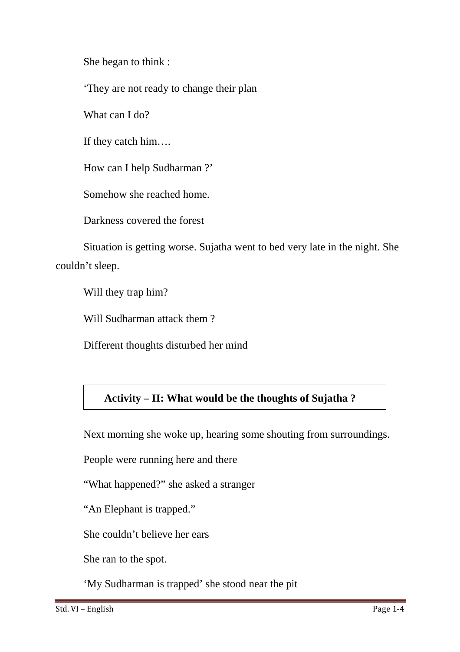She began to think :

'They are not ready to change their plan

What can I do?

If they catch him….

How can I help Sudharman ?'

Somehow she reached home.

Darkness covered the forest

Situation is getting worse. Sujatha went to bed very late in the night. She couldn't sleep.

Will they trap him?

Will Sudharman attack them ?

Different thoughts disturbed her mind

## **Activity – II: What would be the thoughts of Sujatha ?**

Next morning she woke up, hearing some shouting from surroundings.

People were running here and there

"What happened?" she asked a stranger

"An Elephant is trapped."

She couldn't believe her ears

She ran to the spot.

'My Sudharman is trapped' she stood near the pit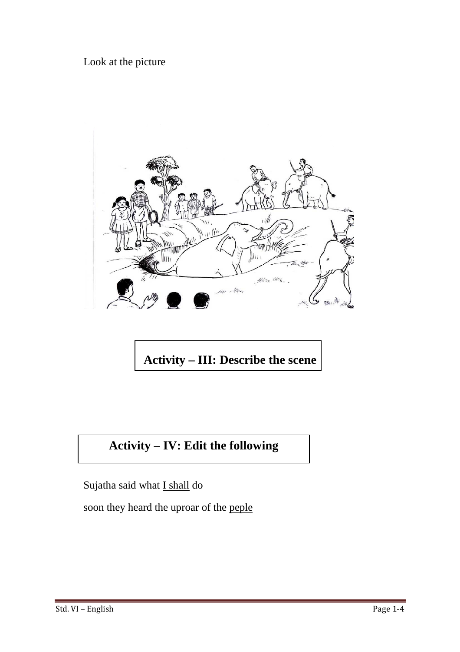Look at the picture



**Activity – III: Describe the scene**

# **Activity – IV: Edit the following**

Sujatha said what I shall do

soon they heard the uproar of the peple